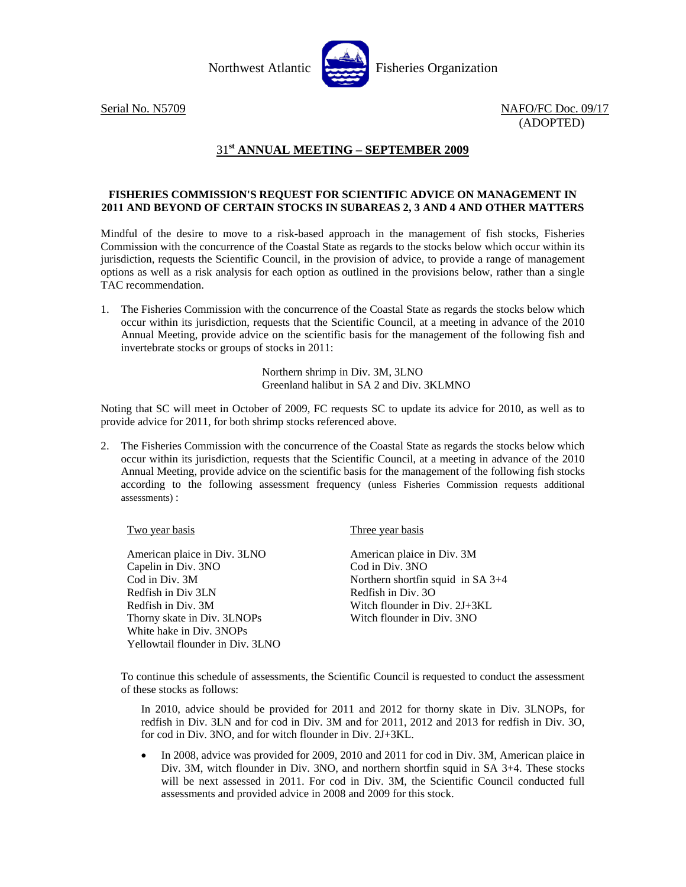

Serial No. N5709 NAFO/FC Doc. 09/17 (ADOPTED)

## 31**st ANNUAL MEETING – SEPTEMBER 2009**

## **FISHERIES COMMISSION'S REQUEST FOR SCIENTIFIC ADVICE ON MANAGEMENT IN 2011 AND BEYOND OF CERTAIN STOCKS IN SUBAREAS 2, 3 AND 4 AND OTHER MATTERS**

Mindful of the desire to move to a risk-based approach in the management of fish stocks, Fisheries Commission with the concurrence of the Coastal State as regards to the stocks below which occur within its jurisdiction, requests the Scientific Council, in the provision of advice, to provide a range of management options as well as a risk analysis for each option as outlined in the provisions below, rather than a single TAC recommendation.

1. The Fisheries Commission with the concurrence of the Coastal State as regards the stocks below which occur within its jurisdiction, requests that the Scientific Council, at a meeting in advance of the 2010 Annual Meeting, provide advice on the scientific basis for the management of the following fish and invertebrate stocks or groups of stocks in 2011:

> Northern shrimp in Div. 3M, 3LNO Greenland halibut in SA 2 and Div. 3KLMNO

Noting that SC will meet in October of 2009, FC requests SC to update its advice for 2010, as well as to provide advice for 2011, for both shrimp stocks referenced above.

2. The Fisheries Commission with the concurrence of the Coastal State as regards the stocks below which occur within its jurisdiction, requests that the Scientific Council, at a meeting in advance of the 2010 Annual Meeting, provide advice on the scientific basis for the management of the following fish stocks according to the following assessment frequency (unless Fisheries Commission requests additional assessments) :

| <u>Two year basis</u>            | Three year basis                    |
|----------------------------------|-------------------------------------|
|                                  |                                     |
| American plaice in Div. 3LNO     | American plaice in Div. 3M          |
| Capelin in Div. 3NO              | Cod in Div. 3NO                     |
| Cod in Div. 3M                   | Northern shortfin squid in $SA$ 3+4 |
| Redfish in Div 3LN               | Redfish in Div. 30                  |
| Redfish in Div. 3M               | Witch flounder in Div. 2J+3KL       |
| Thorny skate in Div. 3LNOPs      | Witch flounder in Div. 3NO          |
| White hake in Div. 3NOPs         |                                     |
| Yellowtail flounder in Div. 3LNO |                                     |

To continue this schedule of assessments, the Scientific Council is requested to conduct the assessment of these stocks as follows:

In 2010, advice should be provided for 2011 and 2012 for thorny skate in Div. 3LNOPs, for redfish in Div. 3LN and for cod in Div. 3M and for 2011, 2012 and 2013 for redfish in Div. 3O, for cod in Div. 3NO, and for witch flounder in Div. 2J+3KL.

• In 2008, advice was provided for 2009, 2010 and 2011 for cod in Div. 3M, American plaice in Div. 3M, witch flounder in Div. 3NO, and northern shortfin squid in SA 3+4. These stocks will be next assessed in 2011. For cod in Div. 3M, the Scientific Council conducted full assessments and provided advice in 2008 and 2009 for this stock.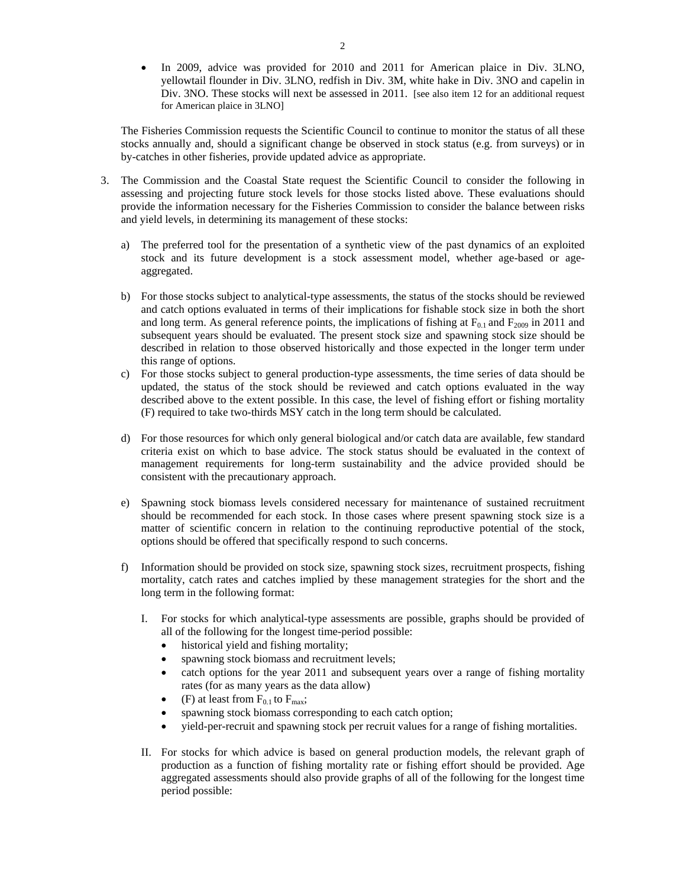In 2009, advice was provided for 2010 and 2011 for American plaice in Div. 3LNO, yellowtail flounder in Div. 3LNO, redfish in Div. 3M, white hake in Div. 3NO and capelin in Div. 3NO. These stocks will next be assessed in 2011. [see also item 12 for an additional request for American plaice in 3LNO]

The Fisheries Commission requests the Scientific Council to continue to monitor the status of all these stocks annually and, should a significant change be observed in stock status (e.g. from surveys) or in by-catches in other fisheries, provide updated advice as appropriate.

- 3. The Commission and the Coastal State request the Scientific Council to consider the following in assessing and projecting future stock levels for those stocks listed above. These evaluations should provide the information necessary for the Fisheries Commission to consider the balance between risks and yield levels, in determining its management of these stocks:
	- a) The preferred tool for the presentation of a synthetic view of the past dynamics of an exploited stock and its future development is a stock assessment model, whether age-based or ageaggregated.
	- b) For those stocks subject to analytical-type assessments, the status of the stocks should be reviewed and catch options evaluated in terms of their implications for fishable stock size in both the short and long term. As general reference points, the implications of fishing at  $F_{0.1}$  and  $F_{2009}$  in 2011 and subsequent years should be evaluated. The present stock size and spawning stock size should be described in relation to those observed historically and those expected in the longer term under this range of options.
	- c) For those stocks subject to general production-type assessments, the time series of data should be updated, the status of the stock should be reviewed and catch options evaluated in the way described above to the extent possible. In this case, the level of fishing effort or fishing mortality (F) required to take two-thirds MSY catch in the long term should be calculated.
	- d) For those resources for which only general biological and/or catch data are available, few standard criteria exist on which to base advice. The stock status should be evaluated in the context of management requirements for long-term sustainability and the advice provided should be consistent with the precautionary approach.
	- e) Spawning stock biomass levels considered necessary for maintenance of sustained recruitment should be recommended for each stock. In those cases where present spawning stock size is a matter of scientific concern in relation to the continuing reproductive potential of the stock, options should be offered that specifically respond to such concerns.
	- f) Information should be provided on stock size, spawning stock sizes, recruitment prospects, fishing mortality, catch rates and catches implied by these management strategies for the short and the long term in the following format:
		- I. For stocks for which analytical-type assessments are possible, graphs should be provided of all of the following for the longest time-period possible:
			- historical yield and fishing mortality;
			- spawning stock biomass and recruitment levels;
			- catch options for the year 2011 and subsequent years over a range of fishing mortality rates (for as many years as the data allow)
			- (F) at least from  $F_{0.1}$  to  $F_{\text{max}}$ ;
			- spawning stock biomass corresponding to each catch option;
			- yield-per-recruit and spawning stock per recruit values for a range of fishing mortalities.
		- II. For stocks for which advice is based on general production models, the relevant graph of production as a function of fishing mortality rate or fishing effort should be provided. Age aggregated assessments should also provide graphs of all of the following for the longest time period possible: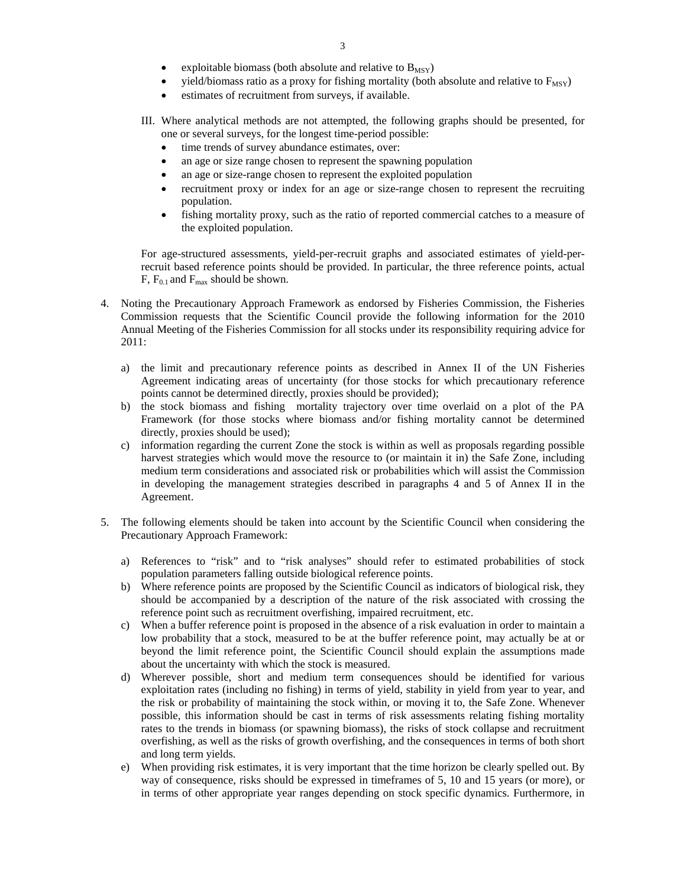- exploitable biomass (both absolute and relative to  $B_{MSY}$ )
- yield/biomass ratio as a proxy for fishing mortality (both absolute and relative to  $F_{MSV}$ )
- estimates of recruitment from surveys, if available.
- III. Where analytical methods are not attempted, the following graphs should be presented, for one or several surveys, for the longest time-period possible:
	- time trends of survey abundance estimates, over:
	- an age or size range chosen to represent the spawning population
	- an age or size-range chosen to represent the exploited population
	- recruitment proxy or index for an age or size-range chosen to represent the recruiting population.
	- fishing mortality proxy, such as the ratio of reported commercial catches to a measure of the exploited population.

For age-structured assessments, yield-per-recruit graphs and associated estimates of yield-perrecruit based reference points should be provided. In particular, the three reference points, actual  $F, F_{0.1}$  and  $F_{\text{max}}$  should be shown.

- 4. Noting the Precautionary Approach Framework as endorsed by Fisheries Commission, the Fisheries Commission requests that the Scientific Council provide the following information for the 2010 Annual Meeting of the Fisheries Commission for all stocks under its responsibility requiring advice for 2011:
	- a) the limit and precautionary reference points as described in Annex II of the UN Fisheries Agreement indicating areas of uncertainty (for those stocks for which precautionary reference points cannot be determined directly, proxies should be provided);
	- b) the stock biomass and fishing mortality trajectory over time overlaid on a plot of the PA Framework (for those stocks where biomass and/or fishing mortality cannot be determined directly, proxies should be used);
	- c) information regarding the current Zone the stock is within as well as proposals regarding possible harvest strategies which would move the resource to (or maintain it in) the Safe Zone, including medium term considerations and associated risk or probabilities which will assist the Commission in developing the management strategies described in paragraphs 4 and 5 of Annex II in the Agreement.
- 5. The following elements should be taken into account by the Scientific Council when considering the Precautionary Approach Framework:
	- a) References to "risk" and to "risk analyses" should refer to estimated probabilities of stock population parameters falling outside biological reference points.
	- b) Where reference points are proposed by the Scientific Council as indicators of biological risk, they should be accompanied by a description of the nature of the risk associated with crossing the reference point such as recruitment overfishing, impaired recruitment, etc.
	- c) When a buffer reference point is proposed in the absence of a risk evaluation in order to maintain a low probability that a stock, measured to be at the buffer reference point, may actually be at or beyond the limit reference point, the Scientific Council should explain the assumptions made about the uncertainty with which the stock is measured.
	- d) Wherever possible, short and medium term consequences should be identified for various exploitation rates (including no fishing) in terms of yield, stability in yield from year to year, and the risk or probability of maintaining the stock within, or moving it to, the Safe Zone. Whenever possible, this information should be cast in terms of risk assessments relating fishing mortality rates to the trends in biomass (or spawning biomass), the risks of stock collapse and recruitment overfishing, as well as the risks of growth overfishing, and the consequences in terms of both short and long term yields.
	- e) When providing risk estimates, it is very important that the time horizon be clearly spelled out. By way of consequence, risks should be expressed in timeframes of 5, 10 and 15 years (or more), or in terms of other appropriate year ranges depending on stock specific dynamics. Furthermore, in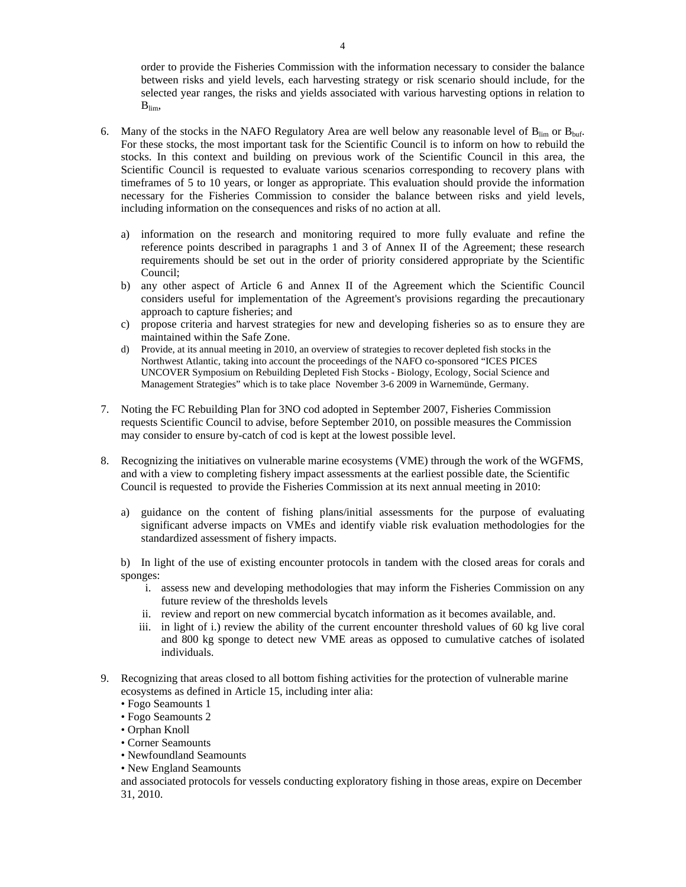order to provide the Fisheries Commission with the information necessary to consider the balance between risks and yield levels, each harvesting strategy or risk scenario should include, for the selected year ranges, the risks and yields associated with various harvesting options in relation to  $B_{\text{lim}}$ 

- 6. Many of the stocks in the NAFO Regulatory Area are well below any reasonable level of  $B_{\text{lim}}$  or  $B_{\text{buf}}$ . For these stocks, the most important task for the Scientific Council is to inform on how to rebuild the stocks. In this context and building on previous work of the Scientific Council in this area, the Scientific Council is requested to evaluate various scenarios corresponding to recovery plans with timeframes of 5 to 10 years, or longer as appropriate. This evaluation should provide the information necessary for the Fisheries Commission to consider the balance between risks and yield levels, including information on the consequences and risks of no action at all.
	- a) information on the research and monitoring required to more fully evaluate and refine the reference points described in paragraphs 1 and 3 of Annex II of the Agreement; these research requirements should be set out in the order of priority considered appropriate by the Scientific Council;
	- b) any other aspect of Article 6 and Annex II of the Agreement which the Scientific Council considers useful for implementation of the Agreement's provisions regarding the precautionary approach to capture fisheries; and
	- c) propose criteria and harvest strategies for new and developing fisheries so as to ensure they are maintained within the Safe Zone.
	- d) Provide, at its annual meeting in 2010, an overview of strategies to recover depleted fish stocks in the Northwest Atlantic, taking into account the proceedings of the NAFO co-sponsored "ICES PICES UNCOVER Symposium on Rebuilding Depleted Fish Stocks - Biology, Ecology, Social Science and Management Strategies" which is to take place November 3-6 2009 in Warnemünde, Germany.
- 7. Noting the FC Rebuilding Plan for 3NO cod adopted in September 2007, Fisheries Commission requests Scientific Council to advise, before September 2010, on possible measures the Commission may consider to ensure by-catch of cod is kept at the lowest possible level.
- 8. Recognizing the initiatives on vulnerable marine ecosystems (VME) through the work of the WGFMS, and with a view to completing fishery impact assessments at the earliest possible date, the Scientific Council is requested to provide the Fisheries Commission at its next annual meeting in 2010:
	- a) guidance on the content of fishing plans/initial assessments for the purpose of evaluating significant adverse impacts on VMEs and identify viable risk evaluation methodologies for the standardized assessment of fishery impacts.

b) In light of the use of existing encounter protocols in tandem with the closed areas for corals and sponges:

- i. assess new and developing methodologies that may inform the Fisheries Commission on any future review of the thresholds levels
- ii. review and report on new commercial bycatch information as it becomes available, and.
- iii. in light of i.) review the ability of the current encounter threshold values of 60 kg live coral and 800 kg sponge to detect new VME areas as opposed to cumulative catches of isolated individuals.
- 9. Recognizing that areas closed to all bottom fishing activities for the protection of vulnerable marine ecosystems as defined in Article 15, including inter alia:
	- Fogo Seamounts 1
	- Fogo Seamounts 2
	- Orphan Knoll
	- Corner Seamounts
	- Newfoundland Seamounts
	- New England Seamounts

and associated protocols for vessels conducting exploratory fishing in those areas, expire on December 31, 2010.